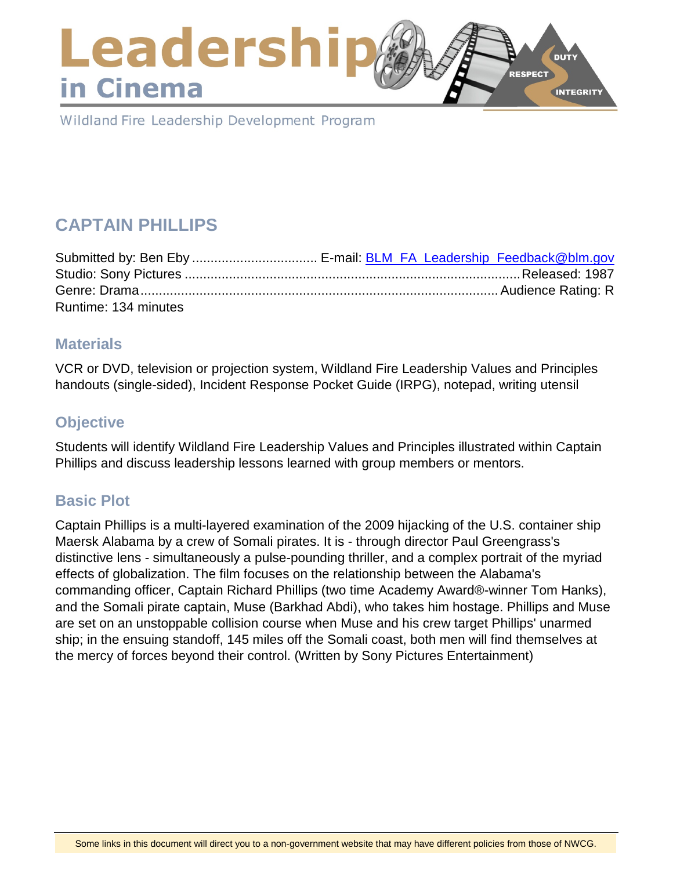### Leadershi **DUTY** RESPECT in Cinema **INTEGRITY**

Wildland Fire Leadership Development Program

# **CAPTAIN PHILLIPS**

| Runtime: 134 minutes |  |
|----------------------|--|

### **Materials**

VCR or DVD, television or projection system, Wildland Fire Leadership Values and Principles handouts (single-sided), Incident Response Pocket Guide (IRPG), notepad, writing utensil

### **Objective**

Students will identify Wildland Fire Leadership Values and Principles illustrated within Captain Phillips and discuss leadership lessons learned with group members or mentors.

### **Basic Plot**

Captain Phillips is a multi-layered examination of the 2009 hijacking of the U.S. container ship Maersk Alabama by a crew of Somali pirates. It is - through director Paul Greengrass's distinctive lens - simultaneously a pulse-pounding thriller, and a complex portrait of the myriad effects of globalization. The film focuses on the relationship between the Alabama's commanding officer, Captain Richard Phillips (two time Academy Award®-winner Tom Hanks), and the Somali pirate captain, Muse (Barkhad Abdi), who takes him hostage. Phillips and Muse are set on an unstoppable collision course when Muse and his crew target Phillips' unarmed ship; in the ensuing standoff, 145 miles off the Somali coast, both men will find themselves at the mercy of forces beyond their control. (Written by Sony Pictures Entertainment)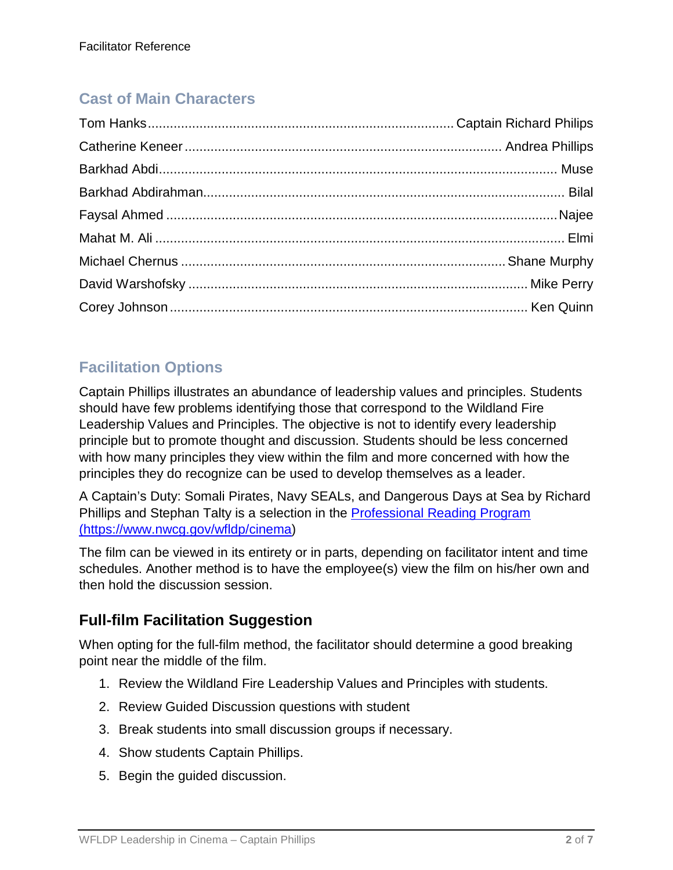### **Cast of Main Characters**

## **Facilitation Options**

Captain Phillips illustrates an abundance of leadership values and principles. Students should have few problems identifying those that correspond to the Wildland Fire Leadership Values and Principles. The objective is not to identify every leadership principle but to promote thought and discussion. Students should be less concerned with how many principles they view within the film and more concerned with how the principles they do recognize can be used to develop themselves as a leader.

A Captain's Duty: Somali Pirates, Navy SEALs, and Dangerous Days at Sea by Richard Phillips and Stephan Talty is a selection in the [Professional Reading Program](https://www.nwcg.gov/wfldp/cinema)  [\(https://www.nwcg.gov/wfldp/cinema\)](https://www.nwcg.gov/wfldp/cinema)

The film can be viewed in its entirety or in parts, depending on facilitator intent and time schedules. Another method is to have the employee(s) view the film on his/her own and then hold the discussion session.

### **Full-film Facilitation Suggestion**

When opting for the full-film method, the facilitator should determine a good breaking point near the middle of the film.

- 1. Review the Wildland Fire Leadership Values and Principles with students.
- 2. Review Guided Discussion questions with student
- 3. Break students into small discussion groups if necessary.
- 4. Show students Captain Phillips.
- 5. Begin the guided discussion.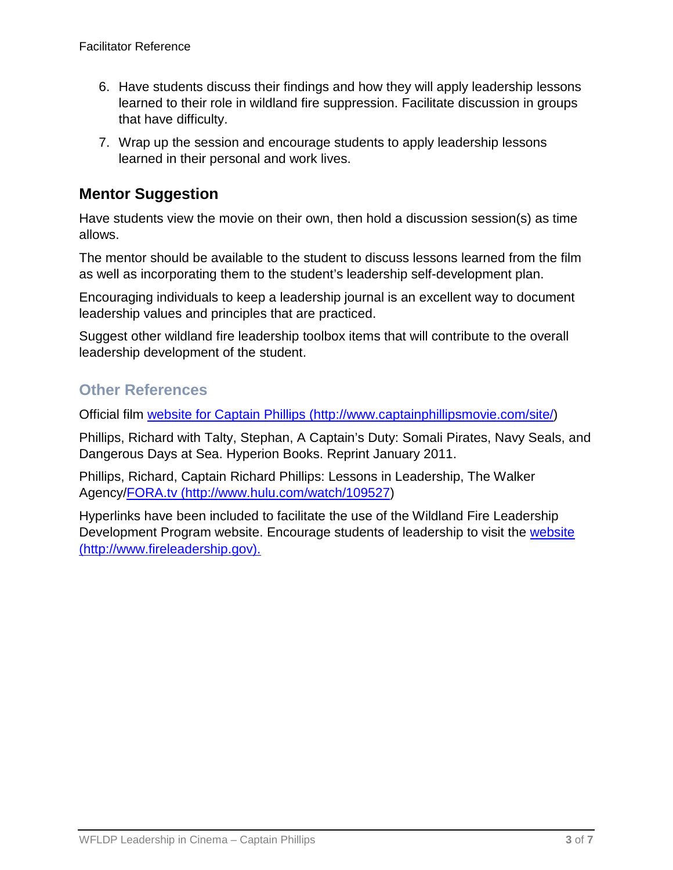- 6. Have students discuss their findings and how they will apply leadership lessons learned to their role in wildland fire suppression. Facilitate discussion in groups that have difficulty.
- 7. Wrap up the session and encourage students to apply leadership lessons learned in their personal and work lives.

### **Mentor Suggestion**

Have students view the movie on their own, then hold a discussion session(s) as time allows.

The mentor should be available to the student to discuss lessons learned from the film as well as incorporating them to the student's leadership self-development plan.

Encouraging individuals to keep a leadership journal is an excellent way to document leadership values and principles that are practiced.

Suggest other wildland fire leadership toolbox items that will contribute to the overall leadership development of the student.

### **Other References**

Official film [website for Captain Phillips \(http://www.captainphillipsmovie.com/site/\)](http://www.captainphillipsmovie.com/site/)

Phillips, Richard with Talty, Stephan, A Captain's Duty: Somali Pirates, Navy Seals, and Dangerous Days at Sea. Hyperion Books. Reprint January 2011.

Phillips, Richard, Captain Richard Phillips: Lessons in Leadership, The Walker Agency[/FORA.tv \(http://www.hulu.com/watch/109527\)](http://www.hulu.com/watch/109527)

Hyperlinks have been included to facilitate the use of the Wildland Fire Leadership Development Program website. Encourage students of leadership to visit the [website](file://ilmfcop3fp8.blm.doi.net/users$/pmcdonal/Leadership/Toolbox/Leadership%20in%20Cinema/Lesson%20Plans/Captain%20Phillips/website%20(http:/www.fireleadership.gov).)  [\(http://www.fireleadership.gov\).](file://ilmfcop3fp8.blm.doi.net/users$/pmcdonal/Leadership/Toolbox/Leadership%20in%20Cinema/Lesson%20Plans/Captain%20Phillips/website%20(http:/www.fireleadership.gov).)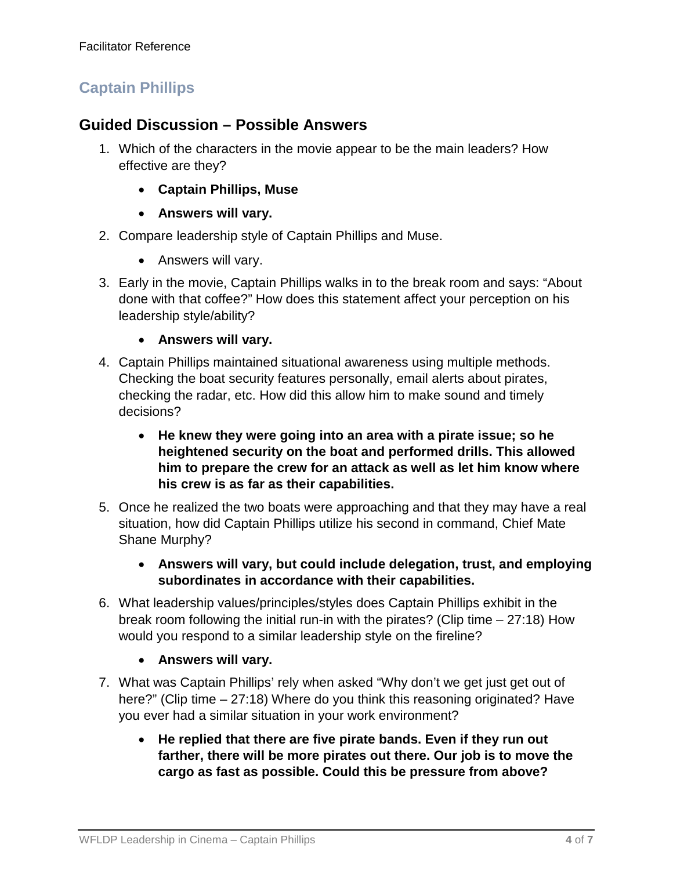### **Captain Phillips**

### **Guided Discussion – Possible Answers**

- 1. Which of the characters in the movie appear to be the main leaders? How effective are they?
	- **Captain Phillips, Muse**
	- **Answers will vary.**
- 2. Compare leadership style of Captain Phillips and Muse.
	- Answers will vary.
- 3. Early in the movie, Captain Phillips walks in to the break room and says: "About done with that coffee?" How does this statement affect your perception on his leadership style/ability?
	- **Answers will vary.**
- 4. Captain Phillips maintained situational awareness using multiple methods. Checking the boat security features personally, email alerts about pirates, checking the radar, etc. How did this allow him to make sound and timely decisions?
	- **He knew they were going into an area with a pirate issue; so he heightened security on the boat and performed drills. This allowed him to prepare the crew for an attack as well as let him know where his crew is as far as their capabilities.**
- 5. Once he realized the two boats were approaching and that they may have a real situation, how did Captain Phillips utilize his second in command, Chief Mate Shane Murphy?
	- **Answers will vary, but could include delegation, trust, and employing subordinates in accordance with their capabilities.**
- 6. What leadership values/principles/styles does Captain Phillips exhibit in the break room following the initial run-in with the pirates? (Clip time – 27:18) How would you respond to a similar leadership style on the fireline?
	- **Answers will vary.**
- 7. What was Captain Phillips' rely when asked "Why don't we get just get out of here?" (Clip time – 27:18) Where do you think this reasoning originated? Have you ever had a similar situation in your work environment?
	- **He replied that there are five pirate bands. Even if they run out farther, there will be more pirates out there. Our job is to move the cargo as fast as possible. Could this be pressure from above?**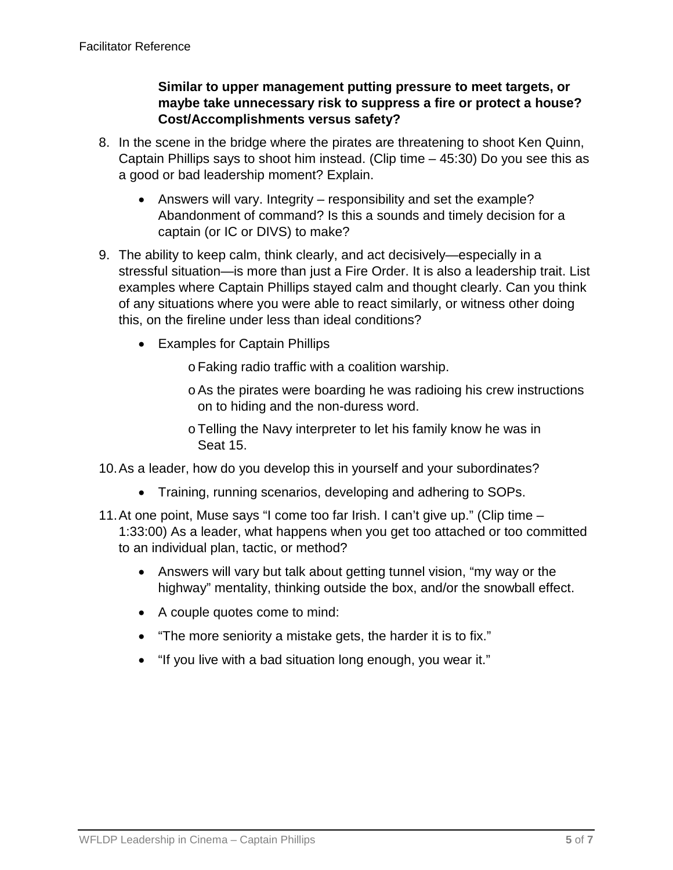### **Similar to upper management putting pressure to meet targets, or maybe take unnecessary risk to suppress a fire or protect a house? Cost/Accomplishments versus safety?**

- 8. In the scene in the bridge where the pirates are threatening to shoot Ken Quinn, Captain Phillips says to shoot him instead. (Clip time – 45:30) Do you see this as a good or bad leadership moment? Explain.
	- Answers will vary. Integrity responsibility and set the example? Abandonment of command? Is this a sounds and timely decision for a captain (or IC or DIVS) to make?
- 9. The ability to keep calm, think clearly, and act decisively—especially in a stressful situation—is more than just a Fire Order. It is also a leadership trait. List examples where Captain Phillips stayed calm and thought clearly. Can you think of any situations where you were able to react similarly, or witness other doing this, on the fireline under less than ideal conditions?
	- Examples for Captain Phillips
		- oFaking radio traffic with a coalition warship.
		- oAs the pirates were boarding he was radioing his crew instructions on to hiding and the non-duress word.
		- oTelling the Navy interpreter to let his family know he was in Seat 15.
- 10.As a leader, how do you develop this in yourself and your subordinates?
	- Training, running scenarios, developing and adhering to SOPs.
- 11.At one point, Muse says "I come too far Irish. I can't give up." (Clip time 1:33:00) As a leader, what happens when you get too attached or too committed to an individual plan, tactic, or method?
	- Answers will vary but talk about getting tunnel vision, "my way or the highway" mentality, thinking outside the box, and/or the snowball effect.
	- A couple quotes come to mind:
	- "The more seniority a mistake gets, the harder it is to fix."
	- "If you live with a bad situation long enough, you wear it."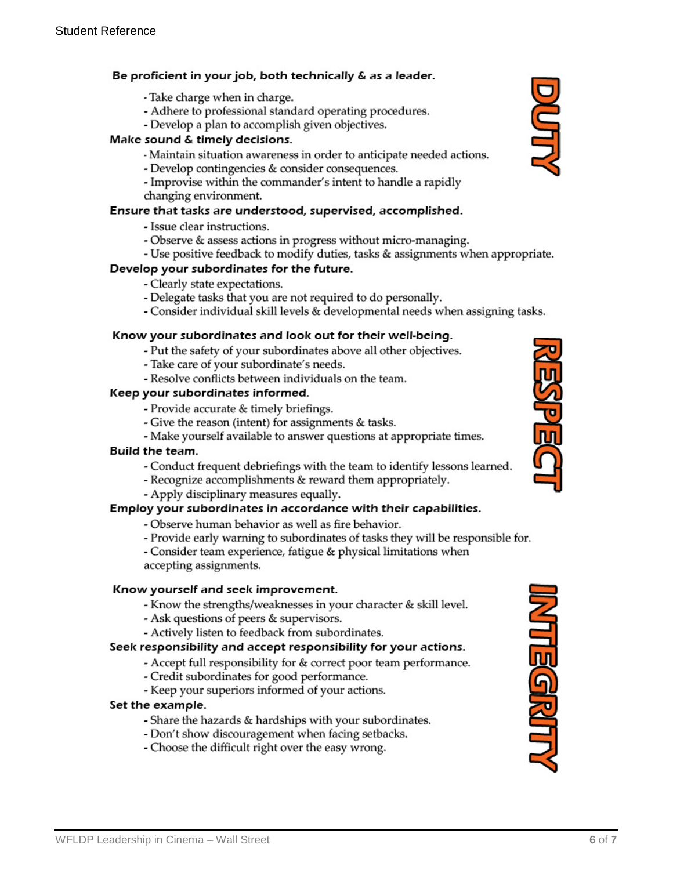#### Be proficient in your job, both technically & as a leader.

- Take charge when in charge.
- Adhere to professional standard operating procedures.
- Develop a plan to accomplish given objectives.

#### Make sound & timely decisions.

- Maintain situation awareness in order to anticipate needed actions.
- Develop contingencies & consider consequences.
- Improvise within the commander's intent to handle a rapidly changing environment.

#### Ensure that tasks are understood, supervised, accomplished.

- Issue clear instructions.
- Observe & assess actions in progress without micro-managing.
- Use positive feedback to modify duties, tasks & assignments when appropriate.

#### Develop your subordinates for the future.

- Clearly state expectations.
- Delegate tasks that you are not required to do personally.
- Consider individual skill levels & developmental needs when assigning tasks.

#### Know your subordinates and look out for their well-being.

- Put the safety of your subordinates above all other objectives.
- Take care of your subordinate's needs.
- Resolve conflicts between individuals on the team.

#### Keep your subordinates informed.

- Provide accurate & timely briefings.
- Give the reason (intent) for assignments & tasks.
- Make yourself available to answer questions at appropriate times.

#### **Build the team.**

- Conduct frequent debriefings with the team to identify lessons learned.
- Recognize accomplishments & reward them appropriately.
- Apply disciplinary measures equally.

#### Employ your subordinates in accordance with their capabilities.

- Observe human behavior as well as fire behavior.
- Provide early warning to subordinates of tasks they will be responsible for.
- Consider team experience, fatigue & physical limitations when accepting assignments.

#### Know yourself and seek improvement.

- Know the strengths/weaknesses in your character & skill level.
- Ask questions of peers & supervisors.
- Actively listen to feedback from subordinates.

#### Seek responsibility and accept responsibility for your actions.

- Accept full responsibility for & correct poor team performance.
- Credit subordinates for good performance.
- Keep your superiors informed of your actions.

#### Set the example.

- Share the hazards & hardships with your subordinates.
- Don't show discouragement when facing setbacks.
- Choose the difficult right over the easy wrong.